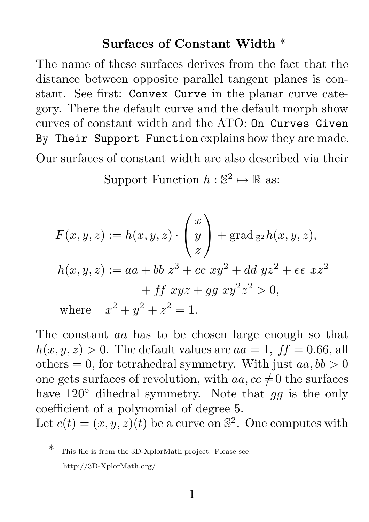## Surfaces of Constant Width \*

The name of these surfaces derives from the fact that the distance between opposite parallel tangent planes is constant. See first: Convex Curve in the planar curve category. There the default curve and the default morph show curves of constant width and the ATO: On Curves Given By Their Support Function explains how they are made. Our surfaces of constant width are also described via their

Support Function  $h : \mathbb{S}^2 \mapsto \mathbb{R}$  as:

$$
F(x, y, z) := h(x, y, z) \cdot \begin{pmatrix} x \\ y \\ z \end{pmatrix} + \text{grad}_{S^2}h(x, y, z),
$$
  
\n
$$
h(x, y, z) := aa + bb \ z^3 + cc \ xy^2 + dd \ yz^2 + ee \ xz^2
$$
  
\n
$$
+ ff \ xyz + gg \ xy^2 z^2 > 0,
$$
  
\nwhere  $x^2 + y^2 + z^2 = 1.$ 

The constant aa has to be chosen large enough so that  $h(x, y, z) > 0$ . The default values are  $aa = 1$ ,  $ff = 0.66$ , all others = 0, for tetrahedral symmetry. With just  $aa, bb > 0$ one gets surfaces of revolution, with  $aa, cc \neq 0$  the surfaces have  $120^{\circ}$  dihedral symmetry. Note that gg is the only coefficient of a polynomial of degree 5. Let  $c(t) = (x, y, z)(t)$  be a curve on  $\mathbb{S}^2$ . One computes with

This file is from the 3D-XplorMath project. Please see: http://3D-XplorMath.org/